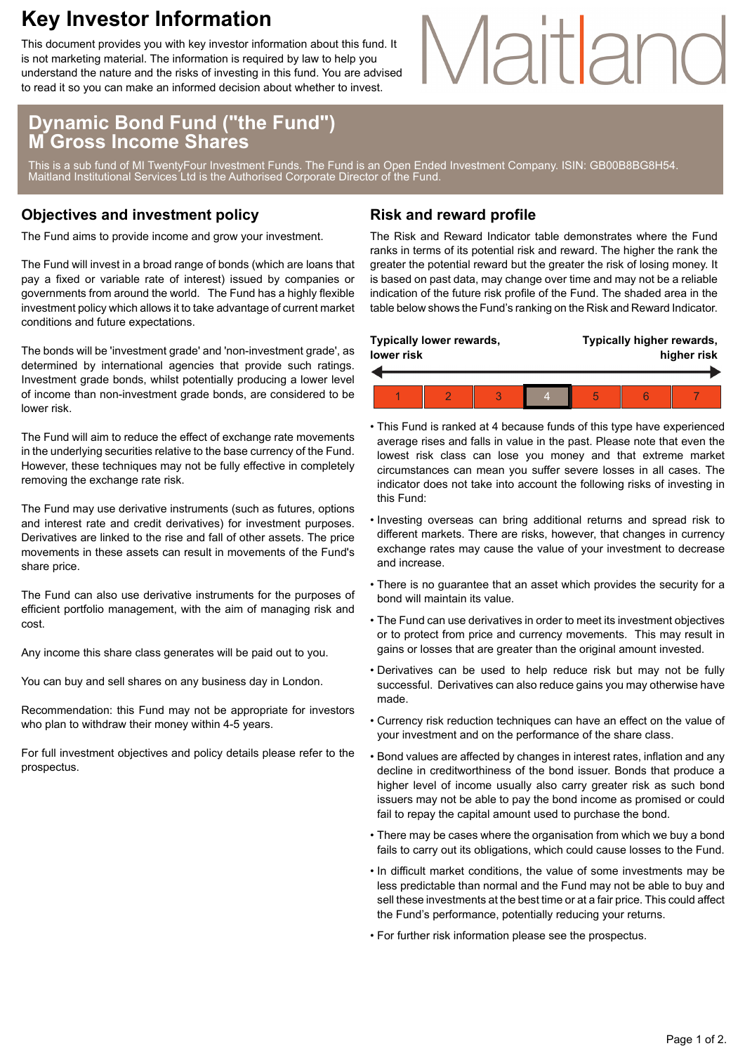### **Key Investor Information**

This document provides you with key investor information about this fund. It is not marketing material. The information is required by law to help you understand the nature and the risks of investing in this fund. You are advised to read it so you can make an informed decision about whether to invest.

# Maitland

### **Dynamic Bond Fund ("the Fund") M Gross Income Shares**

This is a sub fund of MI TwentyFour Investment Funds. The Fund is an Open Ended Investment Company. ISIN: GB00B8BG8H54. Maitland Institutional Services Ltd is the Authorised Corporate Director of the Fund.

#### **Objectives and investment policy**

The Fund aims to provide income and grow your investment.

The Fund will invest in a broad range of bonds (which are loans that pay a fixed or variable rate of interest) issued by companies or governments from around the world. The Fund has a highly flexible investment policy which allows it to take advantage of current market conditions and future expectations.

The bonds will be 'investment grade' and 'non-investment grade', as determined by international agencies that provide such ratings. Investment grade bonds, whilst potentially producing a lower level of income than non-investment grade bonds, are considered to be lower risk.

The Fund will aim to reduce the effect of exchange rate movements in the underlying securities relative to the base currency of the Fund. However, these techniques may not be fully effective in completely removing the exchange rate risk.

The Fund may use derivative instruments (such as futures, options and interest rate and credit derivatives) for investment purposes. Derivatives are linked to the rise and fall of other assets. The price movements in these assets can result in movements of the Fund's share price.

The Fund can also use derivative instruments for the purposes of efficient portfolio management, with the aim of managing risk and cost.

Any income this share class generates will be paid out to you.

You can buy and sell shares on any business day in London.

Recommendation: this Fund may not be appropriate for investors who plan to withdraw their money within 4-5 years.

For full investment objectives and policy details please refer to the prospectus.

#### **Risk and reward profile**

The Risk and Reward Indicator table demonstrates where the Fund ranks in terms of its potential risk and reward. The higher the rank the greater the potential reward but the greater the risk of losing money. It is based on past data, may change over time and may not be a reliable indication of the future risk profile of the Fund. The shaded area in the table below shows the Fund's ranking on the Risk and Reward Indicator.

| Typically lower rewards,<br>lower risk |  |  |  |  | Typically higher rewards,<br>higher risk |  |  |  |
|----------------------------------------|--|--|--|--|------------------------------------------|--|--|--|
|                                        |  |  |  |  |                                          |  |  |  |
|                                        |  |  |  |  | 5                                        |  |  |  |

- This Fund is ranked at 4 because funds of this type have experienced average rises and falls in value in the past. Please note that even the lowest risk class can lose you money and that extreme market circumstances can mean you suffer severe losses in all cases. The indicator does not take into account the following risks of investing in this Fund:
- Investing overseas can bring additional returns and spread risk to different markets. There are risks, however, that changes in currency exchange rates may cause the value of your investment to decrease and increase.
- There is no guarantee that an asset which provides the security for a bond will maintain its value.
- The Fund can use derivatives in order to meet its investment objectives or to protect from price and currency movements. This may result in gains or losses that are greater than the original amount invested.
- Derivatives can be used to help reduce risk but may not be fully successful. Derivatives can also reduce gains you may otherwise have made.
- Currency risk reduction techniques can have an effect on the value of your investment and on the performance of the share class.
- Bond values are affected by changes in interest rates, inflation and any decline in creditworthiness of the bond issuer. Bonds that produce a higher level of income usually also carry greater risk as such bond issuers may not be able to pay the bond income as promised or could fail to repay the capital amount used to purchase the bond.
- There may be cases where the organisation from which we buy a bond fails to carry out its obligations, which could cause losses to the Fund.
- In difficult market conditions, the value of some investments may be less predictable than normal and the Fund may not be able to buy and sell these investments at the best time or at a fair price. This could affect the Fund's performance, potentially reducing your returns.
- For further risk information please see the prospectus.